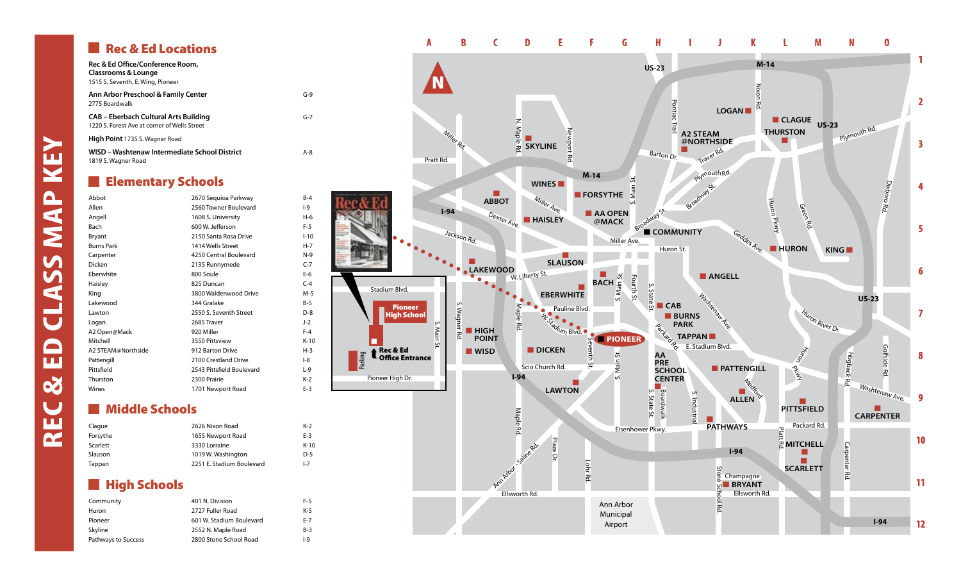# Rec & Ed Locations

| Rec & Ed Office/Conference Room,<br>Classrooms & Lounge<br>1515 S. Seventh, E. Wing, Pioneer |         |
|----------------------------------------------------------------------------------------------|---------|
| Ann Arbor Preschool & Family Center<br>2775 Boardwalk                                        | $G-9$   |
| CAB – Eberbach Cultural Arts Building<br>1220 S. Forest Ave at corner of Wells Street        | $G-7$   |
| <b>High Point</b> 1735 S. Wagner Road                                                        |         |
| WISD - Washtenaw Intermediate School District<br>1819 S. Wagner Road                         | $A - R$ |

### **Elementary Schools**

| Abbot              | 2670 Sequioa Parkway      | $B-4$    |
|--------------------|---------------------------|----------|
| Allen              | 2560 Towner Boulevard     | $ -9$    |
| Angell             | 1608 S. University        | $H-6$    |
| <b>Bach</b>        | 600 W. lefferson          | $F-5$    |
| Bryant             | 2150 Santa Rosa Drive     | $1 - 10$ |
| <b>Burns Park</b>  | 1414 Wells Street         | $H-7$    |
| Carpenter          | 4250 Central Boulevard    | $N-9$    |
| Dicken             | 2135 Runnymede            | $C-7$    |
| Eberwhite          | 800 Soule                 | $E-6$    |
| Haisley            | 825 Duncan                | $C-4$    |
| King               | 3800 Waldenwood Drive     | $M-5$    |
| Lakewood           | 344 Gralake               | $B-5$    |
| Lawton             | 2550 S. Seventh Street    | $D-8$    |
| Logan              | 2685 Traver               | $J-2$    |
| A2 Open@Mack       | 920 Miller                | $F-4$    |
| Mitchell           | 3550 Pittsview            | $K-10$   |
| A2 STEAM@Northside | 912 Barton Drive          | $H-3$    |
| Pattengill         | 2100 Crestland Drive      | $-8$     |
| Pittsfield         | 2543 Pittsfield Boulevard | $L-9$    |
| Thurston           | 2300 Prairie              | $K-2$    |
| Wines              | 1701 Newport Road         | $E-3$    |

## **Middle Schools**

| Claque   | 2626 Nixon Road           | K-2     |
|----------|---------------------------|---------|
| Forsythe | 1655 Newport Road         | $E-3$   |
| Scarlett | 3330 Lorraine             | $K-10$  |
| Slauson  | 1019 W. Washington        | $D-5$   |
| Tappan   | 2251 E. Stadium Boulevard | $I - 7$ |
|          |                           |         |

### **High Schools**

| Community           | 401 N. Division          |       |
|---------------------|--------------------------|-------|
| Huron               | 2727 Fuller Road         | $K-5$ |
| Pioneer             | 601 W. Stadium Boulevard | $E-7$ |
| Skyline             | 2552 N. Maple Road       | $B-3$ |
| Pathways to Success | 2800 Stone School Road   | $ -9$ |



# **ann SSN15 d Class M Rec & E**

**e y**